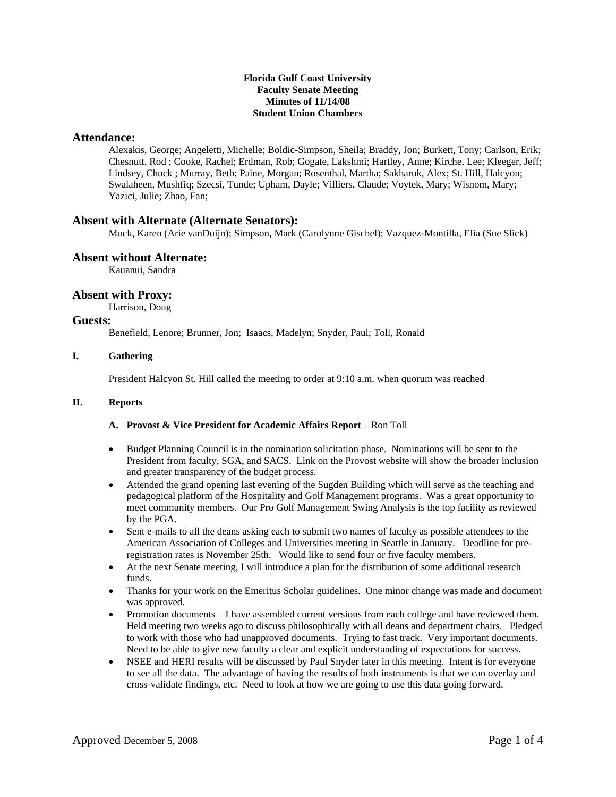#### **Florida Gulf Coast University Faculty Senate Meeting Minutes of 11/14/08 Student Union Chambers**

### **Attendance:**

Alexakis, George; Angeletti, Michelle; Boldic-Simpson, Sheila; Braddy, Jon; Burkett, Tony; Carlson, Erik; Chesnutt, Rod ; Cooke, Rachel; Erdman, Rob; Gogate, Lakshmi; Hartley, Anne; Kirche, Lee; Kleeger, Jeff; Lindsey, Chuck ; Murray, Beth; Paine, Morgan; Rosenthal, Martha; Sakharuk, Alex; St. Hill, Halcyon; Swalaheen, Mushfiq; Szecsi, Tunde; Upham, Dayle; Villiers, Claude; Voytek, Mary; Wisnom, Mary; Yazici, Julie; Zhao, Fan;

# **Absent with Alternate (Alternate Senators):**

Mock, Karen (Arie vanDuijn); Simpson, Mark (Carolynne Gischel); Vazquez-Montilla, Elia (Sue Slick)

## **Absent without Alternate:**

Kauanui, Sandra

# **Absent with Proxy:**

Harrison, Doug

## **Guests:**

Benefield, Lenore; Brunner, Jon; Isaacs, Madelyn; Snyder, Paul; Toll, Ronald

### **I. Gathering**

President Halcyon St. Hill called the meeting to order at 9:10 a.m. when quorum was reached

#### **II. Reports**

### A. Provost & Vice President for Academic Affairs Report - Ron Toll

- Budget Planning Council is in the nomination solicitation phase. Nominations will be sent to the President from faculty, SGA, and SACS. Link on the Provost website will show the broader inclusion and greater transparency of the budget process.
- Attended the grand opening last evening of the Sugden Building which will serve as the teaching and pedagogical platform of the Hospitality and Golf Management programs. Was a great opportunity to meet community members. Our Pro Golf Management Swing Analysis is the top facility as reviewed by the PGA.
- Sent e-mails to all the deans asking each to submit two names of faculty as possible attendees to the American Association of Colleges and Universities meeting in Seattle in January. Deadline for preregistration rates is November 25th. Would like to send four or five faculty members.
- At the next Senate meeting, I will introduce a plan for the distribution of some additional research funds.
- Thanks for your work on the Emeritus Scholar guidelines. One minor change was made and document was approved.
- Promotion documents I have assembled current versions from each college and have reviewed them. Held meeting two weeks ago to discuss philosophically with all deans and department chairs. Pledged to work with those who had unapproved documents. Trying to fast track. Very important documents. Need to be able to give new faculty a clear and explicit understanding of expectations for success.
- NSEE and HERI results will be discussed by Paul Snyder later in this meeting. Intent is for everyone to see all the data. The advantage of having the results of both instruments is that we can overlay and cross-validate findings, etc. Need to look at how we are going to use this data going forward.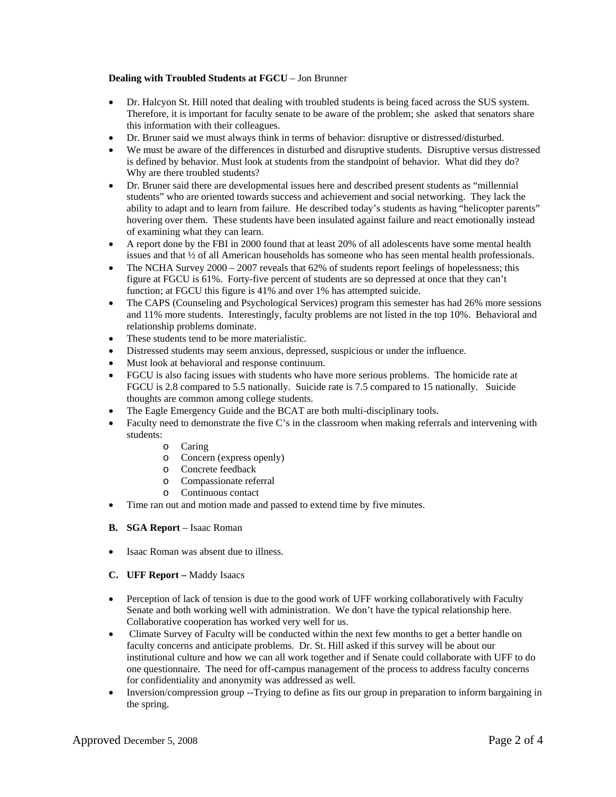### **Dealing with Troubled Students at FGCU** – Jon Brunner

- Dr. Halcyon St. Hill noted that dealing with troubled students is being faced across the SUS system. Therefore, it is important for faculty senate to be aware of the problem; she asked that senators share this information with their colleagues.
- Dr. Bruner said we must always think in terms of behavior: disruptive or distressed/disturbed.
- We must be aware of the differences in disturbed and disruptive students. Disruptive versus distressed is defined by behavior. Must look at students from the standpoint of behavior. What did they do? Why are there troubled students?
- Dr. Bruner said there are developmental issues here and described present students as "millennial students" who are oriented towards success and achievement and social networking. They lack the ability to adapt and to learn from failure. He described today's students as having "helicopter parents" hovering over them. These students have been insulated against failure and react emotionally instead of examining what they can learn.
- A report done by the FBI in 2000 found that at least 20% of all adolescents have some mental health issues and that ½ of all American households has someone who has seen mental health professionals.
- The NCHA Survey  $2000 2007$  reveals that 62% of students report feelings of hopelessness; this figure at FGCU is 61%. Forty-five percent of students are so depressed at once that they can't function; at FGCU this figure is 41% and over 1% has attempted suicide.
- The CAPS (Counseling and Psychological Services) program this semester has had 26% more sessions and 11% more students. Interestingly, faculty problems are not listed in the top 10%. Behavioral and relationship problems dominate.
- These students tend to be more materialistic.
- Distressed students may seem anxious, depressed, suspicious or under the influence.
- Must look at behavioral and response continuum.
- FGCU is also facing issues with students who have more serious problems. The homicide rate at FGCU is 2.8 compared to 5.5 nationally. Suicide rate is 7.5 compared to 15 nationally. Suicide thoughts are common among college students.
- The Eagle Emergency Guide and the BCAT are both multi-disciplinary tools.
- Faculty need to demonstrate the five C's in the classroom when making referrals and intervening with students:
	- o Caring
	- o Concern (express openly)
	- o Concrete feedback
	- o Compassionate referral
	- o Continuous contact
- Time ran out and motion made and passed to extend time by five minutes.
- **B. SGA Report**  Isaac Roman
- Isaac Roman was absent due to illness.
- **C. UFF Report** Maddy Isaacs
- Perception of lack of tension is due to the good work of UFF working collaboratively with Faculty Senate and both working well with administration. We don't have the typical relationship here. Collaborative cooperation has worked very well for us.
- Climate Survey of Faculty will be conducted within the next few months to get a better handle on faculty concerns and anticipate problems. Dr. St. Hill asked if this survey will be about our institutional culture and how we can all work together and if Senate could collaborate with UFF to do one questionnaire. The need for off-campus management of the process to address faculty concerns for confidentiality and anonymity was addressed as well.
- Inversion/compression group --Trying to define as fits our group in preparation to inform bargaining in the spring.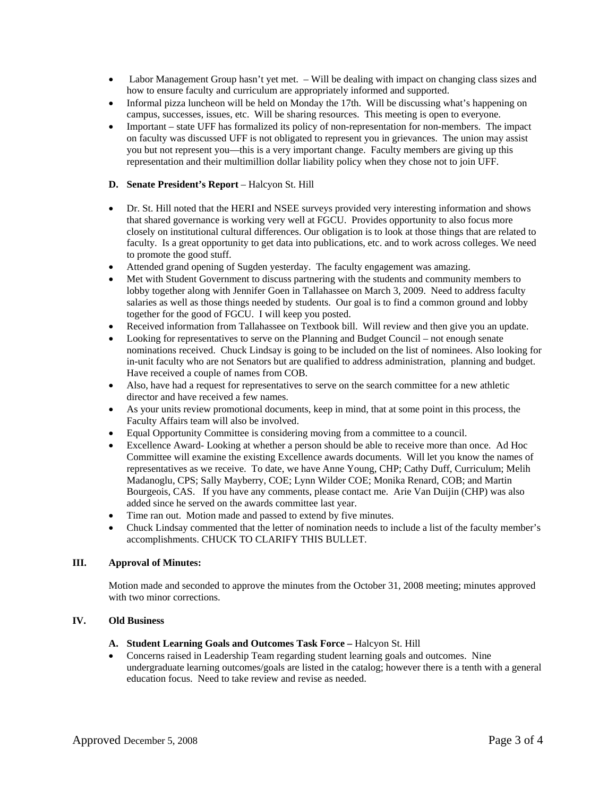- Labor Management Group hasn't yet met. Will be dealing with impact on changing class sizes and how to ensure faculty and curriculum are appropriately informed and supported.
- Informal pizza luncheon will be held on Monday the 17th. Will be discussing what's happening on campus, successes, issues, etc. Will be sharing resources. This meeting is open to everyone.
- Important state UFF has formalized its policy of non-representation for non-members. The impact on faculty was discussed UFF is not obligated to represent you in grievances. The union may assist you but not represent you—this is a very important change. Faculty members are giving up this representation and their multimillion dollar liability policy when they chose not to join UFF.

### **D.** Senate President's Report – Halcyon St. Hill

- Dr. St. Hill noted that the HERI and NSEE surveys provided very interesting information and shows that shared governance is working very well at FGCU. Provides opportunity to also focus more closely on institutional cultural differences. Our obligation is to look at those things that are related to faculty. Is a great opportunity to get data into publications, etc. and to work across colleges. We need to promote the good stuff.
- Attended grand opening of Sugden yesterday. The faculty engagement was amazing.
- Met with Student Government to discuss partnering with the students and community members to lobby together along with Jennifer Goen in Tallahassee on March 3, 2009. Need to address faculty salaries as well as those things needed by students. Our goal is to find a common ground and lobby together for the good of FGCU. I will keep you posted.
- Received information from Tallahassee on Textbook bill. Will review and then give you an update.
- Looking for representatives to serve on the Planning and Budget Council not enough senate nominations received. Chuck Lindsay is going to be included on the list of nominees. Also looking for in-unit faculty who are not Senators but are qualified to address administration, planning and budget. Have received a couple of names from COB.
- Also, have had a request for representatives to serve on the search committee for a new athletic director and have received a few names.
- As your units review promotional documents, keep in mind, that at some point in this process, the Faculty Affairs team will also be involved.
- Equal Opportunity Committee is considering moving from a committee to a council.
- Excellence Award- Looking at whether a person should be able to receive more than once. Ad Hoc Committee will examine the existing Excellence awards documents. Will let you know the names of representatives as we receive. To date, we have Anne Young, CHP; Cathy Duff, Curriculum; Melih Madanoglu, CPS; Sally Mayberry, COE; Lynn Wilder COE; Monika Renard, COB; and Martin Bourgeois, CAS. If you have any comments, please contact me. Arie Van Duijin (CHP) was also added since he served on the awards committee last year.
- Time ran out. Motion made and passed to extend by five minutes.
- Chuck Lindsay commented that the letter of nomination needs to include a list of the faculty member's accomplishments. CHUCK TO CLARIFY THIS BULLET.

#### **III. Approval of Minutes:**

Motion made and seconded to approve the minutes from the October 31, 2008 meeting; minutes approved with two minor corrections.

### **IV. Old Business**

#### **A. Student Learning Goals and Outcomes Task Force –** Halcyon St. Hill

• Concerns raised in Leadership Team regarding student learning goals and outcomes. Nine undergraduate learning outcomes/goals are listed in the catalog; however there is a tenth with a general education focus. Need to take review and revise as needed.